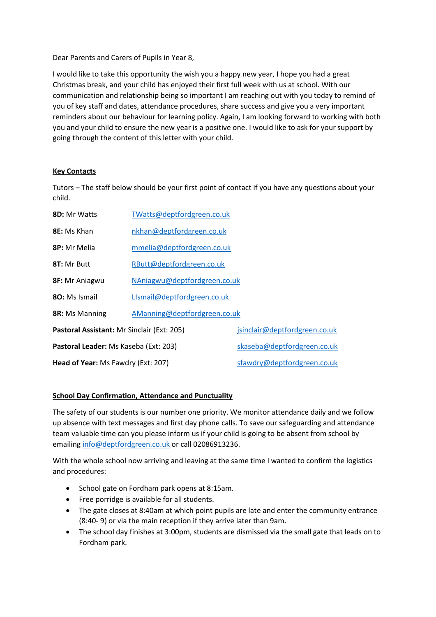Dear Parents and Carers of Pupils in Year 8,

I would like to take this opportunity the wish you a happy new year, I hope you had a great Christmas break, and your child has enjoyed their first full week with us at school. With our communication and relationship being so important I am reaching out with you today to remind of you of key staff and dates, attendance procedures, share success and give you a very important reminders about our behaviour for learning policy. Again, I am looking forward to working with both you and your child to ensure the new year is a positive one. I would like to ask for your support by going through the content of this letter with your child.

## **Key Contacts**

Tutors – The staff below should be your first point of contact if you have any questions about your child.

| <b>8D:</b> Mr Watts                        | TWatts@deptfordgreen.co.uk   |                               |
|--------------------------------------------|------------------------------|-------------------------------|
| <b>8E:</b> Ms Khan                         | nkhan@deptfordgreen.co.uk    |                               |
| <b>8P:</b> Mr Melia                        | mmelia@deptfordgreen.co.uk   |                               |
| 8T: Mr Butt                                | RButt@deptfordgreen.co.uk    |                               |
| 8F: Mr Aniagwu                             | NAniagwu@deptfordgreen.co.uk |                               |
| 80: Ms Ismail                              | LIsmail@deptfordgreen.co.uk  |                               |
| 8R: Ms Manning                             | AManning@deptfordgreen.co.uk |                               |
| Pastoral Assistant: Mr Sinclair (Ext: 205) |                              | jsinclair@deptfordgreen.co.uk |
| Pastoral Leader: Ms Kaseba (Ext: 203)      |                              | skaseba@deptfordgreen.co.uk   |
| Head of Year: Ms Fawdry (Ext: 207)         |                              | sfawdry@deptfordgreen.co.uk   |

### **School Day Confirmation, Attendance and Punctuality**

The safety of our students is our number one priority. We monitor attendance daily and we follow up absence with text messages and first day phone calls. To save our safeguarding and attendance team valuable time can you please inform us if your child is going to be absent from school by emailin[g info@deptfordgreen.co.uk](mailto:info@deptfordgreen.co.uk) or call 02086913236.

With the whole school now arriving and leaving at the same time I wanted to confirm the logistics and procedures:

- School gate on Fordham park opens at 8:15am.
- Free porridge is available for all students.
- The gate closes at 8:40am at which point pupils are late and enter the community entrance (8:40- 9) or via the main reception if they arrive later than 9am.
- The school day finishes at 3:00pm, students are dismissed via the small gate that leads on to Fordham park.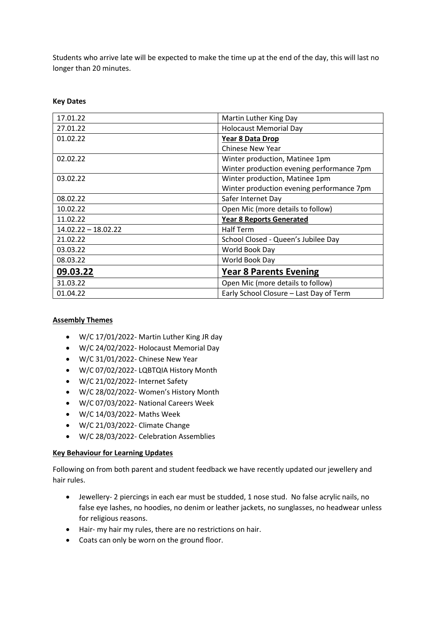Students who arrive late will be expected to make the time up at the end of the day, this will last no longer than 20 minutes.

| 17.01.22              | Martin Luther King Day                    |  |
|-----------------------|-------------------------------------------|--|
| 27.01.22              | <b>Holocaust Memorial Day</b>             |  |
| 01.02.22              | Year 8 Data Drop                          |  |
|                       | <b>Chinese New Year</b>                   |  |
| 02.02.22              | Winter production, Matinee 1pm            |  |
|                       | Winter production evening performance 7pm |  |
| 03.02.22              | Winter production, Matinee 1pm            |  |
|                       | Winter production evening performance 7pm |  |
| 08.02.22              | Safer Internet Day                        |  |
| 10.02.22              | Open Mic (more details to follow)         |  |
| 11.02.22              | <b>Year 8 Reports Generated</b>           |  |
| $14.02.22 - 18.02.22$ | <b>Half Term</b>                          |  |
| 21.02.22              | School Closed - Queen's Jubilee Day       |  |
| 03.03.22              | World Book Day                            |  |
| 08.03.22              | World Book Day                            |  |
| 09.03.22              | <b>Year 8 Parents Evening</b>             |  |
| 31.03.22              | Open Mic (more details to follow)         |  |
| 01.04.22              | Early School Closure - Last Day of Term   |  |

### **Key Dates**

### **Assembly Themes**

- W/C 17/01/2022- Martin Luther King JR day
- W/C 24/02/2022- Holocaust Memorial Day
- W/C 31/01/2022- Chinese New Year
- W/C 07/02/2022- LQBTQIA History Month
- W/C 21/02/2022- Internet Safety
- W/C 28/02/2022- Women's History Month
- W/C 07/03/2022- National Careers Week
- W/C 14/03/2022- Maths Week
- W/C 21/03/2022- Climate Change
- W/C 28/03/2022- Celebration Assemblies

### **Key Behaviour for Learning Updates**

Following on from both parent and student feedback we have recently updated our jewellery and hair rules.

- Jewellery- 2 piercings in each ear must be studded, 1 nose stud. No false acrylic nails, no false eye lashes, no hoodies, no denim or leather jackets, no sunglasses, no headwear unless for religious reasons.
- Hair- my hair my rules, there are no restrictions on hair.
- Coats can only be worn on the ground floor.